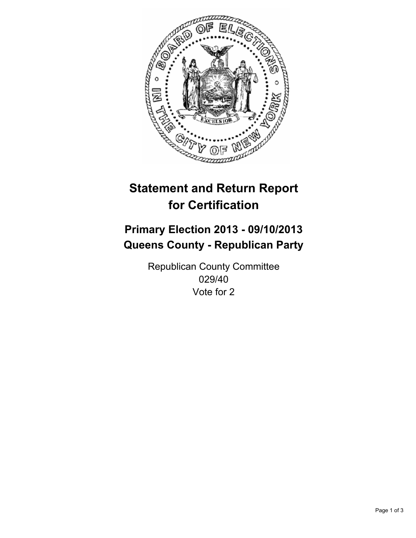

# **Statement and Return Report for Certification**

# **Primary Election 2013 - 09/10/2013 Queens County - Republican Party**

Republican County Committee 029/40 Vote for 2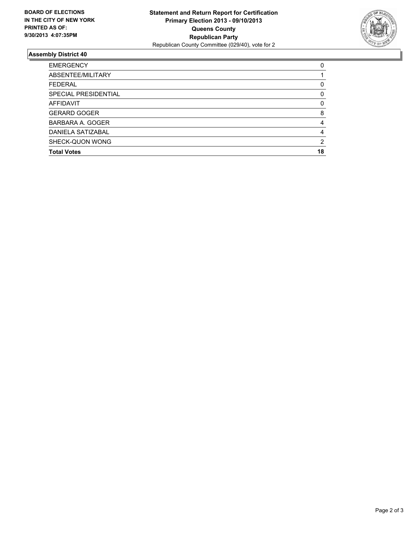

## **Assembly District 40**

| <b>EMERGENCY</b>     | 0        |
|----------------------|----------|
| ABSENTEE/MILITARY    |          |
| <b>FEDERAL</b>       | 0        |
| SPECIAL PRESIDENTIAL | 0        |
| <b>AFFIDAVIT</b>     | $\Omega$ |
| <b>GERARD GOGER</b>  | 8        |
| BARBARA A. GOGER     | 4        |
| DANIELA SATIZABAL    | 4        |
| SHECK-QUON WONG      | 2        |
| <b>Total Votes</b>   | 18       |
|                      |          |